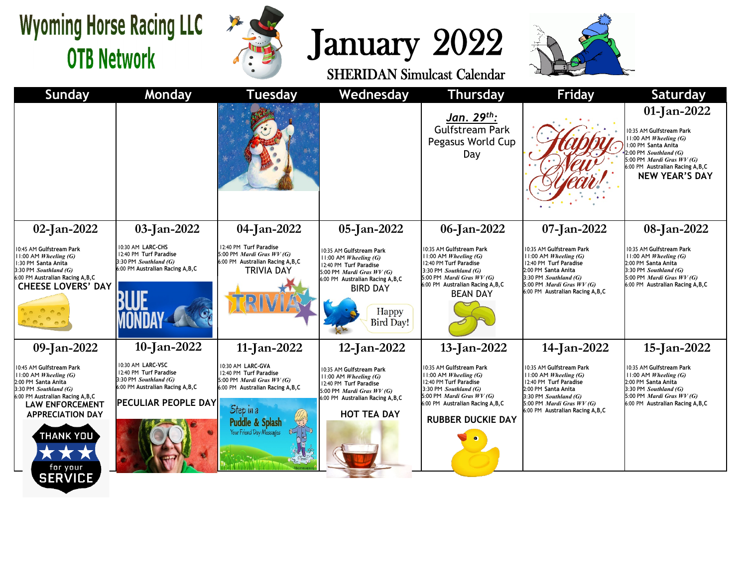## **Wyoming Horse Racing LLC OTB Network**

**SERVICE** 



## January 2022



**Sunday Monday Tuesday Wednesday Thursday Friday Saturday 01-Jan-2022** *Jan. 29th:* Gulfstream Park 10:35 AM **Gulfstream Park** 11:00 AM *Wheeling (G)* Pegasus World Cup 1:00 PM **Santa Anita** 2:00 PM *Southland (G)* Day 5:00 PM *Mardi Gras WV (G)* 6:00 PM **Australian Racing A,B,C NEW YEAR'S DAY 02-Jan-2022 03-Jan-2022 04-Jan-2022 05-Jan-2022 06-Jan-2022 07-Jan-2022 08-Jan-2022** 10:30 AM **LARC-CHS** 12:40 PM **Turf Paradise** 10:45 AM **Gulfstream Park** 10:35 AM **Gulfstream Park** 10:35 AM **Gulfstream Park** 10:35 AM **Gulfstream Park** 10:35 AM **Gulfstream Park** 12:40 PM **Turf Paradise** 5:00 PM *Mardi Gras WV (G)* 11:00 AM *Wheeling (G)* 11:00 AM *Wheeling (G)* 11:00 AM *Wheeling (G)* 11:00 AM *Wheeling (G)* 11:00 AM *Wheeling (G)* 3:30 PM *Southland (G)* 6:00 PM **Australian Racing A,B,C** 1:30 PM **Santa Anita** 12:40 PM **Turf Paradise** 12:40 PM **Turf Paradise** 2:00 PM **Santa Anita** 12:40 PM **Turf Paradise** 6:00 PM **Australian Racing A,B,C** 3:30 PM *Southland (G)* TRIVIA DAY 3:30 PM *Southland (G)* 2:00 PM **Santa Anita** 3:30 PM *Southland (G)* 5:00 PM *Mardi Gras WV (G)* 6:00 PM **Australian Racing A,B,C** 5:00 PM *Mardi Gras WV (G)* 3:30 PM *Southland (G)* 5:00 PM *Mardi Gras WV (G)* 6:00 PM **Australian Racing A,B,C** 6:00 PM **Australian Racing A,B,C** 5:00 PM *Mardi Gras WV (G)* 6:00 PM **Australian Racing A,B,C CHEESE LOVERS' DAY** BIRD DAY 6:00 PM **Australian Racing A,B,C** BEAN DAY Happy **Bird Dav! 10-Jan-2022 14-Jan-2022 09-Jan-2022 11-Jan-2022 12-Jan-2022 13-Jan-2022 15-Jan-2022** 10:30 AM **LARC-VSC** 10:30 AM **LARC-GVA** 10:45 AM **Gulfstream Park** 10:35 AM **Gulfstream Park** 10:35 AM **Gulfstream Park** 10:35 AM **Gulfstream Park** 10:35 AM **Gulfstream Park** 12:40 PM **Turf Paradise** 12:40 PM **Turf Paradise** 11:00 AM *Wheeling (G)* 11:00 AM *Wheeling (G)* 11:00 AM *Wheeling (G)* 11:00 AM *Wheeling (G)* 11:00 AM *Wheeling (G)* 3:30 PM *Southland (G)* 5:00 PM *Mardi Gras WV (G)* 12:40 PM **Turf Paradise** 12:40 PM **Turf Paradise** 2:00 PM **Santa Anita** 12:40 PM **Turf Paradise** 2:00 PM **Santa Anita** 6:00 PM **Australian Racing A,B,C** 6:00 PM **Australian Racing A,B,C** 3:30 PM *Southland (G)* 3:30 PM *Southland (G)* 2:00 PM **Santa Anita** 3:30 PM *Southland (G)* 5:00 PM *Mardi Gras WV (G)* 6:00 PM **Australian Racing A,B,C** 5:00 PM *Mardi Gras WV (G)* 3:30 PM *Southland (G)* 5:00 PM *Mardi Gras WV (G)* 6:00 PM **Australian Racing A,B,C PECULIAR PEOPLE DAY** 6:00 PM **Australian Racing A,B,C LAW ENFORCEMENT**  5:00 PM *Mardi Gras WV (G)* 6:00 PM **Australian Racing A,B,C**Step in a 6:00 PM **Australian Racing A,B,C HOT TEA DAY APPRECIATION DAY RUBBER DUCKIE DAY Puddle & Splas** Your Friend Day Messages THANK YOU **ALL AN** for your